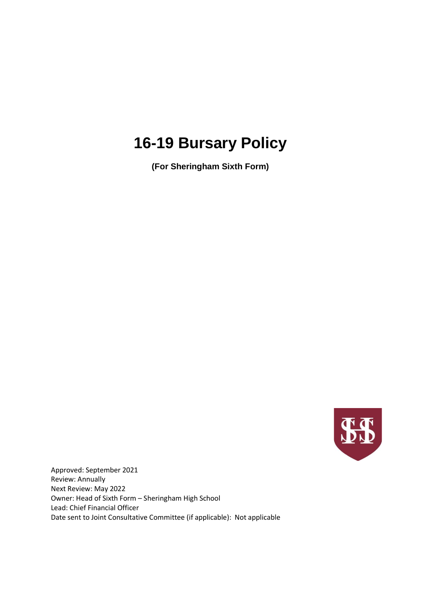# **16-19 Bursary Policy**

**(For Sheringham Sixth Form)**



Approved: September 2021 Review: Annually Next Review: May 2022 Owner: Head of Sixth Form – Sheringham High School Lead: Chief Financial Officer Date sent to Joint Consultative Committee (if applicable): Not applicable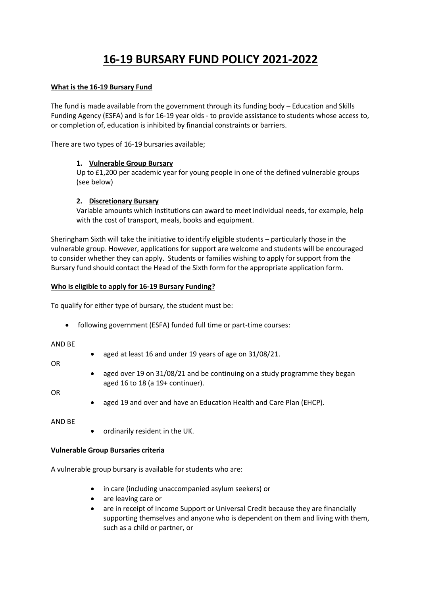# **16-19 BURSARY FUND POLICY 2021-2022**

# **What is the 16-19 Bursary Fund**

The fund is made available from the government through its funding body – Education and Skills Funding Agency (ESFA) and is for 16-19 year olds - to provide assistance to students whose access to, or completion of, education is inhibited by financial constraints or barriers.

There are two types of 16-19 bursaries available;

# **1. Vulnerable Group Bursary**

Up to £1,200 per academic year for young people in one of the defined vulnerable groups (see below)

# **2. Discretionary Bursary**

Variable amounts which institutions can award to meet individual needs, for example, help with the cost of transport, meals, books and equipment.

Sheringham Sixth will take the initiative to identify eligible students – particularly those in the vulnerable group. However, applications for support are welcome and students will be encouraged to consider whether they can apply. Students or families wishing to apply for support from the Bursary fund should contact the Head of the Sixth form for the appropriate application form.

# **Who is eligible to apply for 16-19 Bursary Funding?**

To qualify for either type of bursary, the student must be:

• following government (ESFA) funded full time or part-time courses:

#### AND BE

- aged at least 16 and under 19 years of age on 31/08/21.
- aged over 19 on 31/08/21 and be continuing on a study programme they began aged 16 to 18 (a 19+ continuer).

#### OR

OR

aged 19 and over and have an Education Health and Care Plan (EHCP).

AND BE

• ordinarily resident in the UK.

#### **Vulnerable Group Bursaries criteria**

A vulnerable group bursary is available for students who are:

- in care (including unaccompanied asylum seekers) or
- are leaving care or
- are in receipt of Income Support or Universal Credit because they are financially supporting themselves and anyone who is dependent on them and living with them, such as a child or partner, or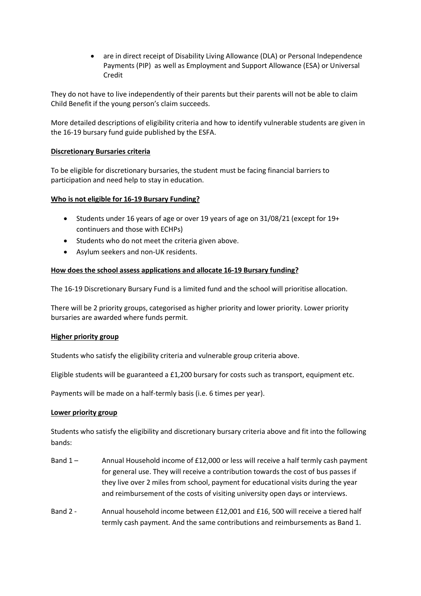are in direct receipt of Disability Living Allowance (DLA) or Personal Independence Payments (PIP) as well as Employment and Support Allowance (ESA) or Universal Credit

They do not have to live independently of their parents but their parents will not be able to claim Child Benefit if the young person's claim succeeds.

More detailed descriptions of eligibility criteria and how to identify vulnerable students are given in the 16-19 bursary fund guide published by the ESFA.

# **Discretionary Bursaries criteria**

To be eligible for discretionary bursaries, the student must be facing financial barriers to participation and need help to stay in education.

#### **Who is not eligible for 16-19 Bursary Funding?**

- Students under 16 years of age or over 19 years of age on 31/08/21 (except for 19+ continuers and those with ECHPs)
- Students who do not meet the criteria given above.
- Asylum seekers and non-UK residents.

# **How does the school assess applications and allocate 16-19 Bursary funding?**

The 16-19 Discretionary Bursary Fund is a limited fund and the school will prioritise allocation.

There will be 2 priority groups, categorised as higher priority and lower priority. Lower priority bursaries are awarded where funds permit.

#### **Higher priority group**

Students who satisfy the eligibility criteria and vulnerable group criteria above.

Eligible students will be guaranteed a £1,200 bursary for costs such as transport, equipment etc.

Payments will be made on a half-termly basis (i.e. 6 times per year).

#### **Lower priority group**

Students who satisfy the eligibility and discretionary bursary criteria above and fit into the following bands:

- Band 1 Annual Household income of £12,000 or less will receive a half termly cash payment for general use. They will receive a contribution towards the cost of bus passes if they live over 2 miles from school, payment for educational visits during the year and reimbursement of the costs of visiting university open days or interviews.
- Band 2 Annual household income between £12,001 and £16, 500 will receive a tiered half termly cash payment. And the same contributions and reimbursements as Band 1.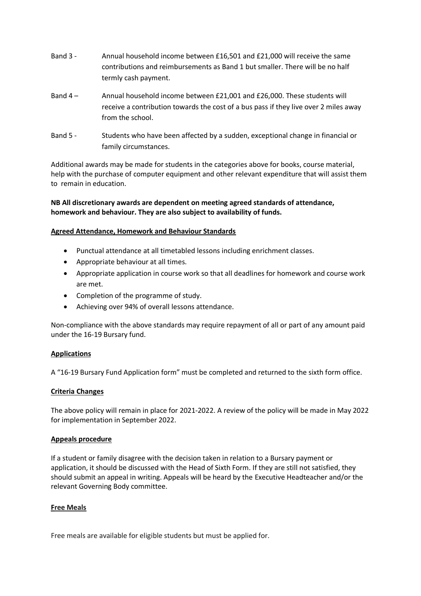- Band 3 Annual household income between £16,501 and £21,000 will receive the same contributions and reimbursements as Band 1 but smaller. There will be no half termly cash payment.
- Band 4 Annual household income between £21,001 and £26,000. These students will receive a contribution towards the cost of a bus pass if they live over 2 miles away from the school.
- Band 5 Students who have been affected by a sudden, exceptional change in financial or family circumstances.

Additional awards may be made for students in the categories above for books, course material, help with the purchase of computer equipment and other relevant expenditure that will assist them to remain in education.

# **NB All discretionary awards are dependent on meeting agreed standards of attendance, homework and behaviour. They are also subject to availability of funds.**

# **Agreed Attendance, Homework and Behaviour Standards**

- Punctual attendance at all timetabled lessons including enrichment classes.
- Appropriate behaviour at all times.
- Appropriate application in course work so that all deadlines for homework and course work are met.
- Completion of the programme of study.
- Achieving over 94% of overall lessons attendance.

Non-compliance with the above standards may require repayment of all or part of any amount paid under the 16-19 Bursary fund.

#### **Applications**

A "16-19 Bursary Fund Application form" must be completed and returned to the sixth form office.

#### **Criteria Changes**

The above policy will remain in place for 2021-2022. A review of the policy will be made in May 2022 for implementation in September 2022.

#### **Appeals procedure**

If a student or family disagree with the decision taken in relation to a Bursary payment or application, it should be discussed with the Head of Sixth Form. If they are still not satisfied, they should submit an appeal in writing. Appeals will be heard by the Executive Headteacher and/or the relevant Governing Body committee.

#### **Free Meals**

Free meals are available for eligible students but must be applied for.